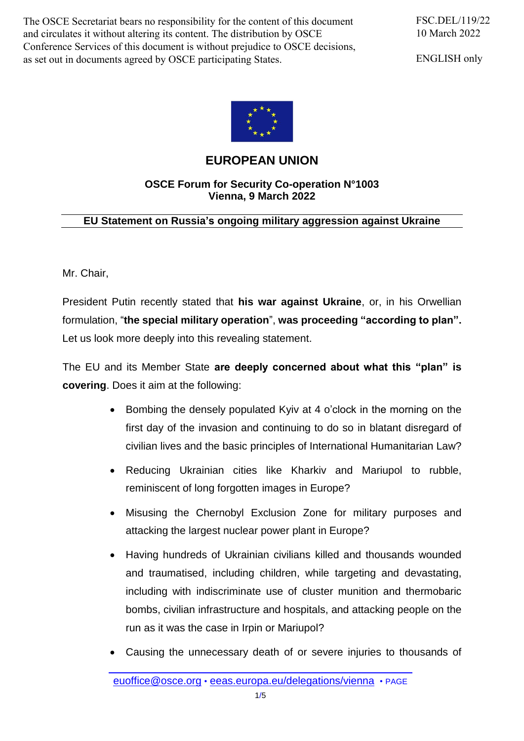The OSCE Secretariat bears no responsibility for the content of this document and circulates it without altering its content. The distribution by OSCE Conference Services of this document is without prejudice to OSCE decisions, as set out in documents agreed by OSCE participating States.

ENGLISH only



## **EUROPEAN UNION**

## **OSCE Forum for Security Co-operation N°1003 Vienna, 9 March 2022**

## **EU Statement on Russia's ongoing military aggression against Ukraine**

Mr. Chair,

President Putin recently stated that **his war against Ukraine**, or, in his Orwellian formulation, "**the special military operation**", **was proceeding "according to plan".** Let us look more deeply into this revealing statement.

The EU and its Member State **are deeply concerned about what this "plan" is covering**. Does it aim at the following:

- Bombing the densely populated Kyiv at 4 o'clock in the morning on the first day of the invasion and continuing to do so in blatant disregard of civilian lives and the basic principles of International Humanitarian Law?
- Reducing Ukrainian cities like Kharkiv and Mariupol to rubble, reminiscent of long forgotten images in Europe?
- Misusing the Chernobyl Exclusion Zone for military purposes and attacking the largest nuclear power plant in Europe?
- Having hundreds of Ukrainian civilians killed and thousands wounded and traumatised, including children, while targeting and devastating, including with indiscriminate use of cluster munition and thermobaric bombs, civilian infrastructure and hospitals, and attacking people on the run as it was the case in Irpin or Mariupol?
- Causing the unnecessary death of or severe injuries to thousands of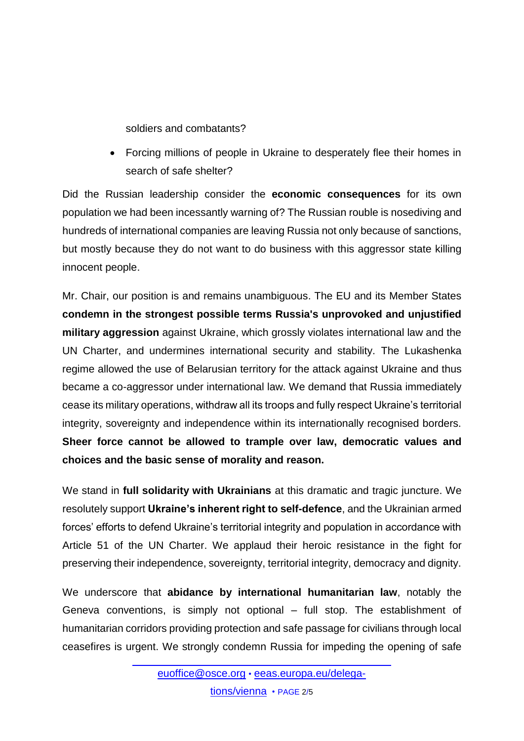soldiers and combatants?

 Forcing millions of people in Ukraine to desperately flee their homes in search of safe shelter?

Did the Russian leadership consider the **economic consequences** for its own population we had been incessantly warning of? The Russian rouble is nosediving and hundreds of international companies are leaving Russia not only because of sanctions, but mostly because they do not want to do business with this aggressor state killing innocent people.

Mr. Chair, our position is and remains unambiguous. The EU and its Member States **condemn in the strongest possible terms Russia's unprovoked and unjustified military aggression** against Ukraine, which grossly violates international law and the UN Charter, and undermines international security and stability. The Lukashenka regime allowed the use of Belarusian territory for the attack against Ukraine and thus became a co-aggressor under international law. We demand that Russia immediately cease its military operations, withdraw all its troops and fully respect Ukraine's territorial integrity, sovereignty and independence within its internationally recognised borders. **Sheer force cannot be allowed to trample over law, democratic values and choices and the basic sense of morality and reason.**

We stand in **full solidarity with Ukrainians** at this dramatic and tragic juncture. We resolutely support **Ukraine's inherent right to self-defence**, and the Ukrainian armed forces' efforts to defend Ukraine's territorial integrity and population in accordance with Article 51 of the UN Charter. We applaud their heroic resistance in the fight for preserving their independence, sovereignty, territorial integrity, democracy and dignity.

We underscore that **abidance by international humanitarian law**, notably the Geneva conventions, is simply not optional – full stop. The establishment of humanitarian corridors providing protection and safe passage for civilians through local ceasefires is urgent. We strongly condemn Russia for impeding the opening of safe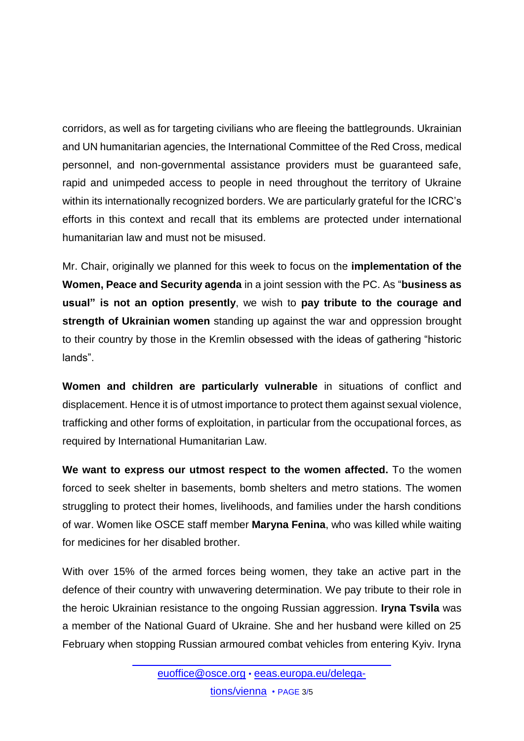corridors, as well as for targeting civilians who are fleeing the battlegrounds. Ukrainian and UN humanitarian agencies, the International Committee of the Red Cross, medical personnel, and non-governmental assistance providers must be guaranteed safe, rapid and unimpeded access to people in need throughout the territory of Ukraine within its internationally recognized borders. We are particularly grateful for the ICRC's efforts in this context and recall that its emblems are protected under international humanitarian law and must not be misused.

Mr. Chair, originally we planned for this week to focus on the **implementation of the Women, Peace and Security agenda** in a joint session with the PC. As "**business as usual" is not an option presently**, we wish to **pay tribute to the courage and strength of Ukrainian women** standing up against the war and oppression brought to their country by those in the Kremlin obsessed with the ideas of gathering "historic lands".

**Women and children are particularly vulnerable** in situations of conflict and displacement. Hence it is of utmost importance to protect them against sexual violence, trafficking and other forms of exploitation, in particular from the occupational forces, as required by International Humanitarian Law.

**We want to express our utmost respect to the women affected.** To the women forced to seek shelter in basements, bomb shelters and metro stations. The women struggling to protect their homes, livelihoods, and families under the harsh conditions of war. Women like OSCE staff member **Maryna Fenina**, who was killed while waiting for medicines for her disabled brother.

With over 15% of the armed forces being women, they take an active part in the defence of their country with unwavering determination. We pay tribute to their role in the heroic Ukrainian resistance to the ongoing Russian aggression. **Iryna Tsvila** was a member of the National Guard of Ukraine. She and her husband were killed on 25 February when stopping Russian armoured combat vehicles from entering Kyiv. Iryna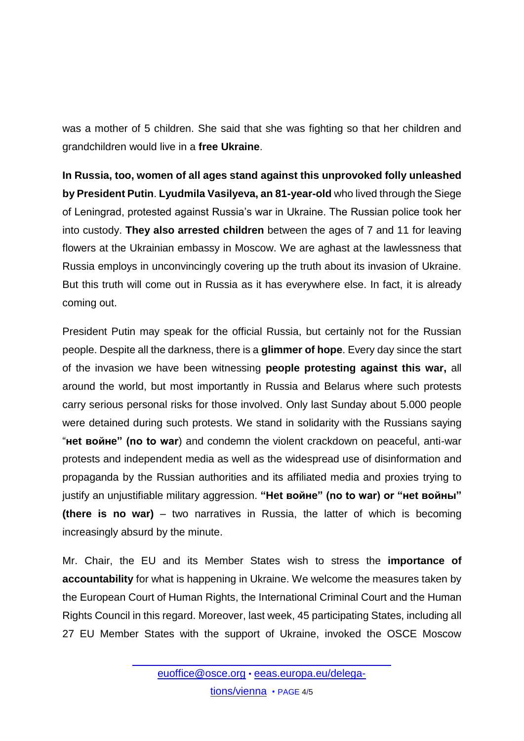was a mother of 5 children. She said that she was fighting so that her children and grandchildren would live in a **free Ukraine**.

**In Russia, too, women of all ages stand against this unprovoked folly unleashed by President Putin**. **Lyudmila Vasilyeva, an 81-year-old** who lived through the Siege of Leningrad, protested against Russia's war in Ukraine. The Russian police took her into custody. **They also arrested children** between the ages of 7 and 11 for leaving flowers at the Ukrainian embassy in Moscow. We are aghast at the lawlessness that Russia employs in unconvincingly covering up the truth about its invasion of Ukraine. But this truth will come out in Russia as it has everywhere else. In fact, it is already coming out.

President Putin may speak for the official Russia, but certainly not for the Russian people. Despite all the darkness, there is a **glimmer of hope**. Every day since the start of the invasion we have been witnessing **people protesting against this war,** all around the world, but most importantly in Russia and Belarus where such protests carry serious personal risks for those involved. Only last Sunday about 5.000 people were detained during such protests. We stand in solidarity with the Russians saying "**нet войнe" (no to war**) and condemn the violent crackdown on peaceful, anti-war protests and independent media as well as the widespread use of disinformation and propaganda by the Russian authorities and its affiliated media and proxies trying to justify an unjustifiable military aggression. **"Het войнe" (no to war) or "нet войны" (there is no war)** – two narratives in Russia, the latter of which is becoming increasingly absurd by the minute.

Mr. Chair, the EU and its Member States wish to stress the **importance of accountability** for what is happening in Ukraine. We welcome the measures taken by the European Court of Human Rights, the International Criminal Court and the Human Rights Council in this regard. Moreover, last week, 45 participating States, including all 27 EU Member States with the support of Ukraine, invoked the OSCE Moscow